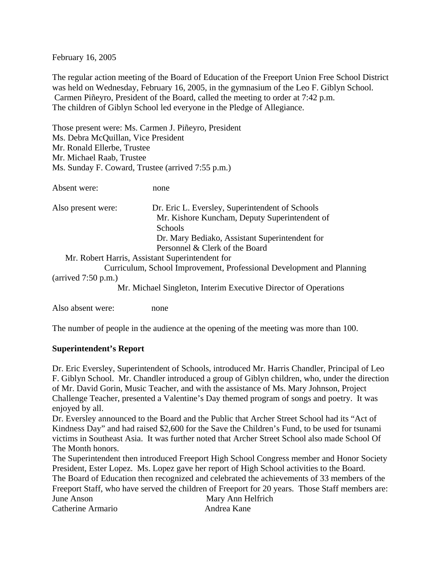February 16, 2005

The regular action meeting of the Board of Education of the Freeport Union Free School District was held on Wednesday, February 16, 2005, in the gymnasium of the Leo F. Giblyn School. Carmen Piñeyro, President of the Board, called the meeting to order at 7:42 p.m. The children of Giblyn School led everyone in the Pledge of Allegiance.

Those present were: Ms. Carmen J. Piñeyro, President Ms. Debra McQuillan, Vice President Mr. Ronald Ellerbe, Trustee Mr. Michael Raab, Trustee Ms. Sunday F. Coward, Trustee (arrived 7:55 p.m.)

Absent were: none

| Also present were: | Dr. Eric L. Eversley, Superintendent of Schools<br>Mr. Kishore Kuncham, Deputy Superintendent of |
|--------------------|--------------------------------------------------------------------------------------------------|
|                    | <b>Schools</b>                                                                                   |
|                    | Dr. Mary Bediako, Assistant Superintendent for                                                   |
|                    | Personnel & Clerk of the Board                                                                   |
|                    | Mr. Robert Harris, Assistant Superintendent for                                                  |

 Curriculum, School Improvement, Professional Development and Planning (arrived 7:50 p.m.)

Mr. Michael Singleton, Interim Executive Director of Operations

Also absent were: none

The number of people in the audience at the opening of the meeting was more than 100.

### **Superintendent's Report**

Dr. Eric Eversley, Superintendent of Schools, introduced Mr. Harris Chandler, Principal of Leo F. Giblyn School. Mr. Chandler introduced a group of Giblyn children, who, under the direction of Mr. David Gorin, Music Teacher, and with the assistance of Ms. Mary Johnson, Project Challenge Teacher, presented a Valentine's Day themed program of songs and poetry. It was enjoyed by all.

Dr. Eversley announced to the Board and the Public that Archer Street School had its "Act of Kindness Day" and had raised \$2,600 for the Save the Children's Fund, to be used for tsunami victims in Southeast Asia. It was further noted that Archer Street School also made School Of The Month honors.

The Superintendent then introduced Freeport High School Congress member and Honor Society President, Ester Lopez. Ms. Lopez gave her report of High School activities to the Board. The Board of Education then recognized and celebrated the achievements of 33 members of the Freeport Staff, who have served the children of Freeport for 20 years. Those Staff members are: June Anson Mary Ann Helfrich Catherine Armario **Andrea Kane**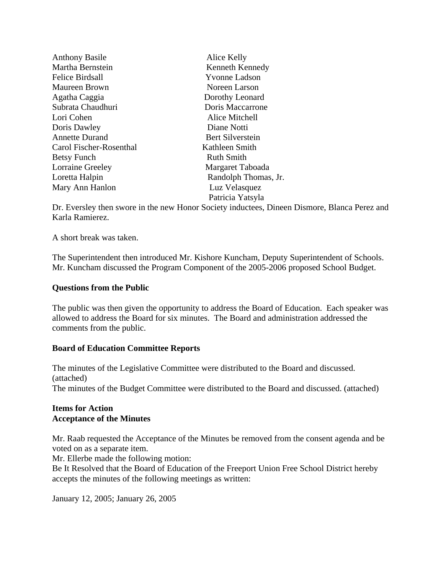| <b>Anthony Basile</b>   | Alice Kelly          |
|-------------------------|----------------------|
| Martha Bernstein        | Kenneth Kennedy      |
| Felice Birdsall         | <b>Yvonne Ladson</b> |
| <b>Maureen Brown</b>    | Noreen Larson        |
| Agatha Caggia           | Dorothy Leonard      |
| Subrata Chaudhuri       | Doris Maccarrone     |
| Lori Cohen              | Alice Mitchell       |
| Doris Dawley            | Diane Notti          |
| <b>Annette Durand</b>   | Bert Silverstein     |
| Carol Fischer-Rosenthal | Kathleen Smith       |
| Betsy Funch             | <b>Ruth Smith</b>    |
| <b>Lorraine Greeley</b> | Margaret Taboada     |
| Loretta Halpin          | Randolph Thomas, Jr. |
| Mary Ann Hanlon         | Luz Velasquez        |
|                         | Patricia Yatsyla     |

Dr. Eversley then swore in the new Honor Society inductees, Dineen Dismore, Blanca Perez and Karla Ramierez.

A short break was taken.

The Superintendent then introduced Mr. Kishore Kuncham, Deputy Superintendent of Schools. Mr. Kuncham discussed the Program Component of the 2005-2006 proposed School Budget.

### **Questions from the Public**

The public was then given the opportunity to address the Board of Education. Each speaker was allowed to address the Board for six minutes. The Board and administration addressed the comments from the public.

#### **Board of Education Committee Reports**

The minutes of the Legislative Committee were distributed to the Board and discussed. (attached) The minutes of the Budget Committee were distributed to the Board and discussed. (attached)

# **Items for Action Acceptance of the Minutes**

Mr. Raab requested the Acceptance of the Minutes be removed from the consent agenda and be voted on as a separate item.

Mr. Ellerbe made the following motion:

Be It Resolved that the Board of Education of the Freeport Union Free School District hereby accepts the minutes of the following meetings as written:

January 12, 2005; January 26, 2005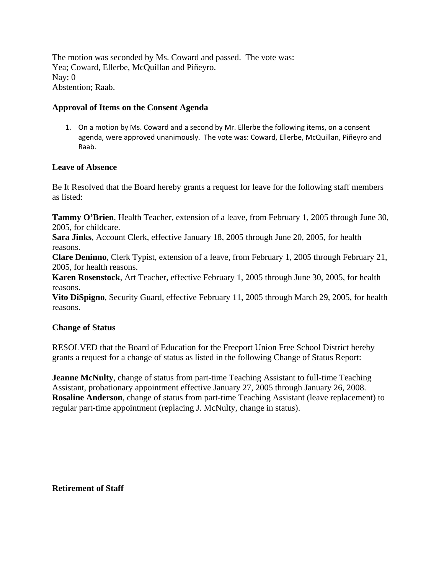The motion was seconded by Ms. Coward and passed. The vote was: Yea; Coward, Ellerbe, McQuillan and Piñeyro. Nay; 0 Abstention; Raab.

### **Approval of Items on the Consent Agenda**

1. On a motion by Ms. Coward and a second by Mr. Ellerbe the following items, on a consent agenda, were approved unanimously. The vote was: Coward, Ellerbe, McQuillan, Piñeyro and Raab.

# **Leave of Absence**

Be It Resolved that the Board hereby grants a request for leave for the following staff members as listed:

**Tammy O'Brien**, Health Teacher, extension of a leave, from February 1, 2005 through June 30, 2005, for childcare.

**Sara Jinks**, Account Clerk, effective January 18, 2005 through June 20, 2005, for health reasons.

**Clare Deninno**, Clerk Typist, extension of a leave, from February 1, 2005 through February 21, 2005, for health reasons.

**Karen Rosenstock**, Art Teacher, effective February 1, 2005 through June 30, 2005, for health reasons.

**Vito DiSpigno**, Security Guard, effective February 11, 2005 through March 29, 2005, for health reasons.

### **Change of Status**

RESOLVED that the Board of Education for the Freeport Union Free School District hereby grants a request for a change of status as listed in the following Change of Status Report:

**Jeanne McNulty**, change of status from part-time Teaching Assistant to full-time Teaching Assistant, probationary appointment effective January 27, 2005 through January 26, 2008. **Rosaline Anderson**, change of status from part-time Teaching Assistant (leave replacement) to regular part-time appointment (replacing J. McNulty, change in status).

**Retirement of Staff**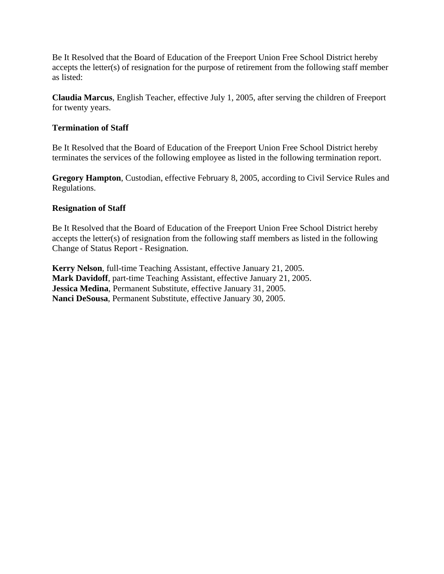Be It Resolved that the Board of Education of the Freeport Union Free School District hereby accepts the letter(s) of resignation for the purpose of retirement from the following staff member as listed:

**Claudia Marcus**, English Teacher, effective July 1, 2005, after serving the children of Freeport for twenty years.

# **Termination of Staff**

Be It Resolved that the Board of Education of the Freeport Union Free School District hereby terminates the services of the following employee as listed in the following termination report.

**Gregory Hampton**, Custodian, effective February 8, 2005, according to Civil Service Rules and Regulations.

# **Resignation of Staff**

Be It Resolved that the Board of Education of the Freeport Union Free School District hereby accepts the letter(s) of resignation from the following staff members as listed in the following Change of Status Report - Resignation.

**Kerry Nelson**, full-time Teaching Assistant, effective January 21, 2005. **Mark Davidoff**, part-time Teaching Assistant, effective January 21, 2005. **Jessica Medina**, Permanent Substitute, effective January 31, 2005. **Nanci DeSousa**, Permanent Substitute, effective January 30, 2005.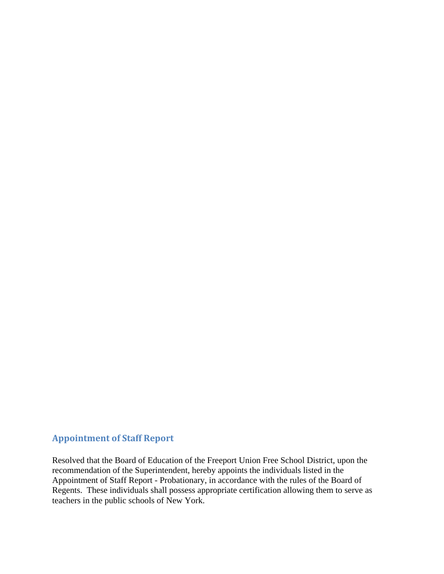# **Appointment of Staff Report**

Resolved that the Board of Education of the Freeport Union Free School District, upon the recommendation of the Superintendent, hereby appoints the individuals listed in the Appointment of Staff Report - Probationary, in accordance with the rules of the Board of Regents. These individuals shall possess appropriate certification allowing them to serve as teachers in the public schools of New York.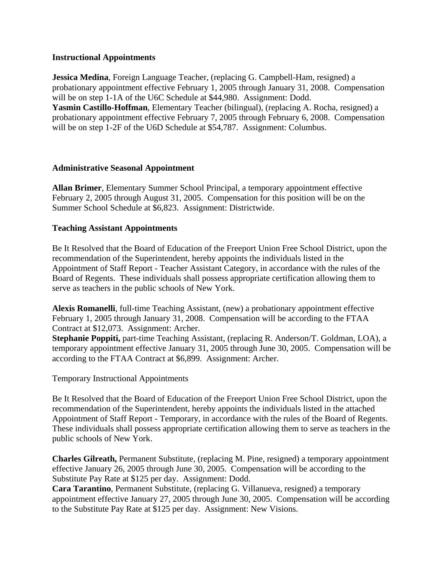## **Instructional Appointments**

**Jessica Medina**, Foreign Language Teacher, (replacing G. Campbell-Ham, resigned) a probationary appointment effective February 1, 2005 through January 31, 2008. Compensation will be on step 1-1A of the U6C Schedule at \$44,980. Assignment: Dodd. **Yasmin Castillo-Hoffman**, Elementary Teacher (bilingual), (replacing A. Rocha, resigned) a probationary appointment effective February 7, 2005 through February 6, 2008. Compensation will be on step 1-2F of the U6D Schedule at \$54,787. Assignment: Columbus.

# **Administrative Seasonal Appointment**

**Allan Brimer**, Elementary Summer School Principal, a temporary appointment effective February 2, 2005 through August 31, 2005. Compensation for this position will be on the Summer School Schedule at \$6,823. Assignment: Districtwide.

# **Teaching Assistant Appointments**

Be It Resolved that the Board of Education of the Freeport Union Free School District, upon the recommendation of the Superintendent, hereby appoints the individuals listed in the Appointment of Staff Report - Teacher Assistant Category, in accordance with the rules of the Board of Regents. These individuals shall possess appropriate certification allowing them to serve as teachers in the public schools of New York.

**Alexis Romanelli**, full-time Teaching Assistant, (new) a probationary appointment effective February 1, 2005 through January 31, 2008. Compensation will be according to the FTAA Contract at \$12,073. Assignment: Archer.

**Stephanie Poppiti,** part-time Teaching Assistant, (replacing R. Anderson/T. Goldman, LOA), a temporary appointment effective January 31, 2005 through June 30, 2005. Compensation will be according to the FTAA Contract at \$6,899. Assignment: Archer.

Temporary Instructional Appointments

Be It Resolved that the Board of Education of the Freeport Union Free School District, upon the recommendation of the Superintendent, hereby appoints the individuals listed in the attached Appointment of Staff Report - Temporary, in accordance with the rules of the Board of Regents. These individuals shall possess appropriate certification allowing them to serve as teachers in the public schools of New York.

**Charles Gilreath,** Permanent Substitute, (replacing M. Pine, resigned) a temporary appointment effective January 26, 2005 through June 30, 2005. Compensation will be according to the Substitute Pay Rate at \$125 per day. Assignment: Dodd.

**Cara Tarantino**, Permanent Substitute, (replacing G. Villanueva, resigned) a temporary appointment effective January 27, 2005 through June 30, 2005. Compensation will be according to the Substitute Pay Rate at \$125 per day. Assignment: New Visions.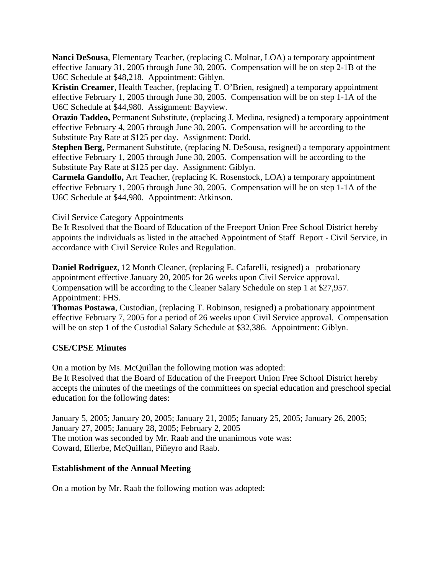**Nanci DeSousa**, Elementary Teacher, (replacing C. Molnar, LOA) a temporary appointment effective January 31, 2005 through June 30, 2005. Compensation will be on step 2-1B of the U6C Schedule at \$48,218. Appointment: Giblyn.

**Kristin Creamer**, Health Teacher, (replacing T. O'Brien, resigned) a temporary appointment effective February 1, 2005 through June 30, 2005. Compensation will be on step 1-1A of the U6C Schedule at \$44,980. Assignment: Bayview.

**Orazio Taddeo,** Permanent Substitute, (replacing J. Medina, resigned) a temporary appointment effective February 4, 2005 through June 30, 2005. Compensation will be according to the Substitute Pay Rate at \$125 per day. Assignment: Dodd.

**Stephen Berg**, Permanent Substitute, (replacing N. DeSousa, resigned) a temporary appointment effective February 1, 2005 through June 30, 2005. Compensation will be according to the Substitute Pay Rate at \$125 per day. Assignment: Giblyn.

**Carmela Gandolfo,** Art Teacher, (replacing K. Rosenstock, LOA) a temporary appointment effective February 1, 2005 through June 30, 2005. Compensation will be on step 1-1A of the U6C Schedule at \$44,980. Appointment: Atkinson.

# Civil Service Category Appointments

Be It Resolved that the Board of Education of the Freeport Union Free School District hereby appoints the individuals as listed in the attached Appointment of Staff Report - Civil Service, in accordance with Civil Service Rules and Regulation.

**Daniel Rodriguez**, 12 Month Cleaner, (replacing E. Cafarelli, resigned) a probationary appointment effective January 20, 2005 for 26 weeks upon Civil Service approval. Compensation will be according to the Cleaner Salary Schedule on step 1 at \$27,957. Appointment: FHS.

**Thomas Postawa**, Custodian, (replacing T. Robinson, resigned) a probationary appointment effective February 7, 2005 for a period of 26 weeks upon Civil Service approval. Compensation will be on step 1 of the Custodial Salary Schedule at \$32,386. Appointment: Giblyn.

### **CSE/CPSE Minutes**

On a motion by Ms. McQuillan the following motion was adopted:

Be It Resolved that the Board of Education of the Freeport Union Free School District hereby accepts the minutes of the meetings of the committees on special education and preschool special education for the following dates:

January 5, 2005; January 20, 2005; January 21, 2005; January 25, 2005; January 26, 2005; January 27, 2005; January 28, 2005; February 2, 2005 The motion was seconded by Mr. Raab and the unanimous vote was: Coward, Ellerbe, McQuillan, Piñeyro and Raab.

# **Establishment of the Annual Meeting**

On a motion by Mr. Raab the following motion was adopted: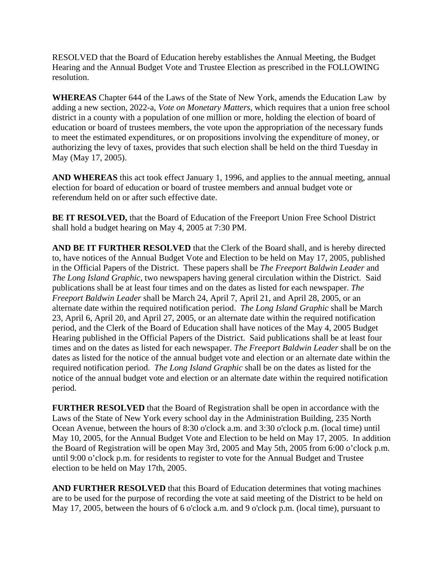RESOLVED that the Board of Education hereby establishes the Annual Meeting, the Budget Hearing and the Annual Budget Vote and Trustee Election as prescribed in the FOLLOWING resolution.

**WHEREAS** Chapter 644 of the Laws of the State of New York, amends the Education Law by adding a new section, 2022-a, *Vote on Monetary Matters*, which requires that a union free school district in a county with a population of one million or more, holding the election of board of education or board of trustees members, the vote upon the appropriation of the necessary funds to meet the estimated expenditures, or on propositions involving the expenditure of money, or authorizing the levy of taxes, provides that such election shall be held on the third Tuesday in May (May 17, 2005).

**AND WHEREAS** this act took effect January 1, 1996, and applies to the annual meeting, annual election for board of education or board of trustee members and annual budget vote or referendum held on or after such effective date.

**BE IT RESOLVED,** that the Board of Education of the Freeport Union Free School District shall hold a budget hearing on May 4, 2005 at 7:30 PM.

**AND BE IT FURTHER RESOLVED** that the Clerk of the Board shall, and is hereby directed to, have notices of the Annual Budget Vote and Election to be held on May 17, 2005, published in the Official Papers of the District. These papers shall be *The Freeport Baldwin Leader* and *The Long Island Graphic*, two newspapers having general circulation within the District. Said publications shall be at least four times and on the dates as listed for each newspaper. *The Freeport Baldwin Leader* shall be March 24, April 7, April 21, and April 28, 2005, or an alternate date within the required notification period. *The Long Island Graphic* shall be March 23, April 6, April 20, and April 27, 2005, or an alternate date within the required notification period, and the Clerk of the Board of Education shall have notices of the May 4, 2005 Budget Hearing published in the Official Papers of the District. Said publications shall be at least four times and on the dates as listed for each newspaper. *The Freeport Baldwin Leader* shall be on the dates as listed for the notice of the annual budget vote and election or an alternate date within the required notification period. *The Long Island Graphic* shall be on the dates as listed for the notice of the annual budget vote and election or an alternate date within the required notification period.

**FURTHER RESOLVED** that the Board of Registration shall be open in accordance with the Laws of the State of New York every school day in the Administration Building, 235 North Ocean Avenue, between the hours of 8:30 o'clock a.m. and 3:30 o'clock p.m. (local time) until May 10, 2005, for the Annual Budget Vote and Election to be held on May 17, 2005. In addition the Board of Registration will be open May 3rd, 2005 and May 5th, 2005 from 6:00 o'clock p.m. until 9:00 o'clock p.m. for residents to register to vote for the Annual Budget and Trustee election to be held on May 17th, 2005.

**AND FURTHER RESOLVED** that this Board of Education determines that voting machines are to be used for the purpose of recording the vote at said meeting of the District to be held on May 17, 2005, between the hours of 6 o'clock a.m. and 9 o'clock p.m. (local time), pursuant to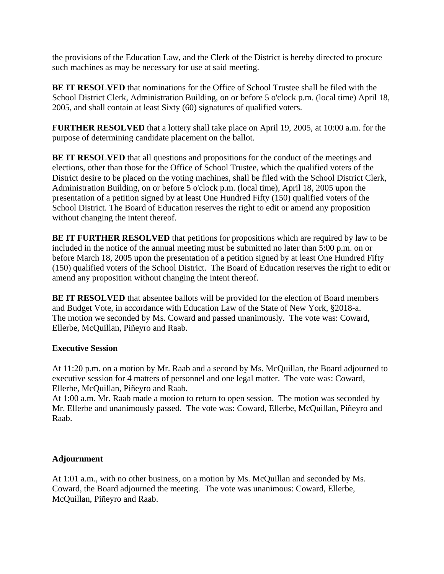the provisions of the Education Law, and the Clerk of the District is hereby directed to procure such machines as may be necessary for use at said meeting.

**BE IT RESOLVED** that nominations for the Office of School Trustee shall be filed with the School District Clerk, Administration Building, on or before 5 o'clock p.m. (local time) April 18, 2005, and shall contain at least Sixty (60) signatures of qualified voters.

**FURTHER RESOLVED** that a lottery shall take place on April 19, 2005, at 10:00 a.m. for the purpose of determining candidate placement on the ballot.

**BE IT RESOLVED** that all questions and propositions for the conduct of the meetings and elections, other than those for the Office of School Trustee, which the qualified voters of the District desire to be placed on the voting machines, shall be filed with the School District Clerk, Administration Building, on or before 5 o'clock p.m. (local time), April 18, 2005 upon the presentation of a petition signed by at least One Hundred Fifty (150) qualified voters of the School District. The Board of Education reserves the right to edit or amend any proposition without changing the intent thereof.

**BE IT FURTHER RESOLVED** that petitions for propositions which are required by law to be included in the notice of the annual meeting must be submitted no later than 5:00 p.m. on or before March 18, 2005 upon the presentation of a petition signed by at least One Hundred Fifty (150) qualified voters of the School District. The Board of Education reserves the right to edit or amend any proposition without changing the intent thereof.

**BE IT RESOLVED** that absentee ballots will be provided for the election of Board members and Budget Vote, in accordance with Education Law of the State of New York, §2018-a. The motion we seconded by Ms. Coward and passed unanimously. The vote was: Coward, Ellerbe, McQuillan, Piñeyro and Raab.

# **Executive Session**

At 11:20 p.m. on a motion by Mr. Raab and a second by Ms. McQuillan, the Board adjourned to executive session for 4 matters of personnel and one legal matter. The vote was: Coward, Ellerbe, McQuillan, Piñeyro and Raab.

At 1:00 a.m. Mr. Raab made a motion to return to open session. The motion was seconded by Mr. Ellerbe and unanimously passed. The vote was: Coward, Ellerbe, McQuillan, Piñeyro and Raab.

# **Adjournment**

At 1:01 a.m., with no other business, on a motion by Ms. McQuillan and seconded by Ms. Coward, the Board adjourned the meeting. The vote was unanimous: Coward, Ellerbe, McQuillan, Piñeyro and Raab.